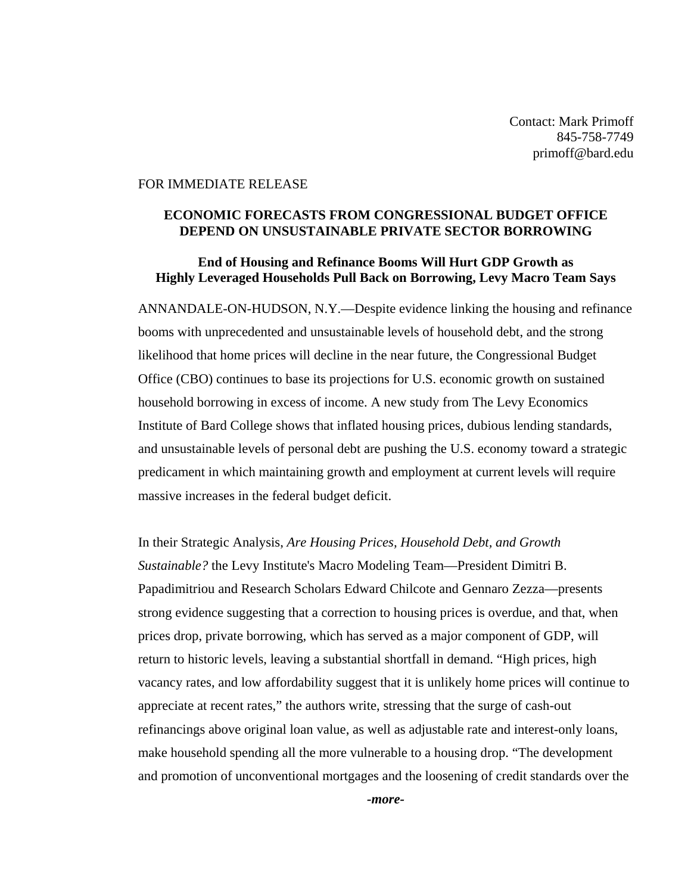Contact: Mark Primoff 845-758-7749 primoff@bard.edu

#### FOR IMMEDIATE RELEASE

## **ECONOMIC FORECASTS FROM CONGRESSIONAL BUDGET OFFICE DEPEND ON UNSUSTAINABLE PRIVATE SECTOR BORROWING**

# **End of Housing and Refinance Booms Will Hurt GDP Growth as Highly Leveraged Households Pull Back on Borrowing, Levy Macro Team Says**

ANNANDALE-ON-HUDSON, N.Y.—Despite evidence linking the housing and refinance booms with unprecedented and unsustainable levels of household debt, and the strong likelihood that home prices will decline in the near future, the Congressional Budget Office (CBO) continues to base its projections for U.S. economic growth on sustained household borrowing in excess of income. A new study from The Levy Economics Institute of Bard College shows that inflated housing prices, dubious lending standards, and unsustainable levels of personal debt are pushing the U.S. economy toward a strategic predicament in which maintaining growth and employment at current levels will require massive increases in the federal budget deficit.

In their Strategic Analysis, *Are Housing Prices, Household Debt, and Growth Sustainable?* the Levy Institute's Macro Modeling Team—President Dimitri B. Papadimitriou and Research Scholars Edward Chilcote and Gennaro Zezza—presents strong evidence suggesting that a correction to housing prices is overdue, and that, when prices drop, private borrowing, which has served as a major component of GDP, will return to historic levels, leaving a substantial shortfall in demand. "High prices, high vacancy rates, and low affordability suggest that it is unlikely home prices will continue to appreciate at recent rates," the authors write, stressing that the surge of cash-out refinancings above original loan value, as well as adjustable rate and interest-only loans, make household spending all the more vulnerable to a housing drop. "The development and promotion of unconventional mortgages and the loosening of credit standards over the